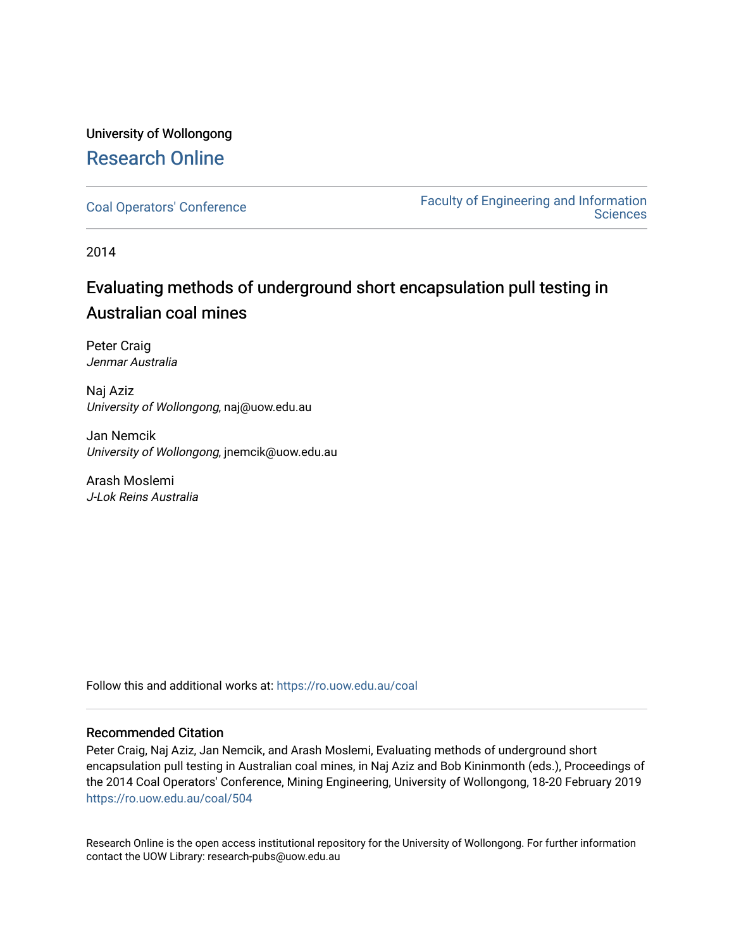# University of Wollongong [Research Online](https://ro.uow.edu.au/)

[Coal Operators' Conference](https://ro.uow.edu.au/coal) [Faculty of Engineering and Information](https://ro.uow.edu.au/eis)  **Sciences** 

2014

# Evaluating methods of underground short encapsulation pull testing in Australian coal mines

Peter Craig Jenmar Australia

Naj Aziz University of Wollongong, naj@uow.edu.au

Jan Nemcik University of Wollongong, jnemcik@uow.edu.au

Arash Moslemi J-Lok Reins Australia

Follow this and additional works at: [https://ro.uow.edu.au/coal](https://ro.uow.edu.au/coal?utm_source=ro.uow.edu.au%2Fcoal%2F504&utm_medium=PDF&utm_campaign=PDFCoverPages) 

#### Recommended Citation

Peter Craig, Naj Aziz, Jan Nemcik, and Arash Moslemi, Evaluating methods of underground short encapsulation pull testing in Australian coal mines, in Naj Aziz and Bob Kininmonth (eds.), Proceedings of the 2014 Coal Operators' Conference, Mining Engineering, University of Wollongong, 18-20 February 2019 [https://ro.uow.edu.au/coal/504](https://ro.uow.edu.au/coal/504?utm_source=ro.uow.edu.au%2Fcoal%2F504&utm_medium=PDF&utm_campaign=PDFCoverPages) 

Research Online is the open access institutional repository for the University of Wollongong. For further information contact the UOW Library: research-pubs@uow.edu.au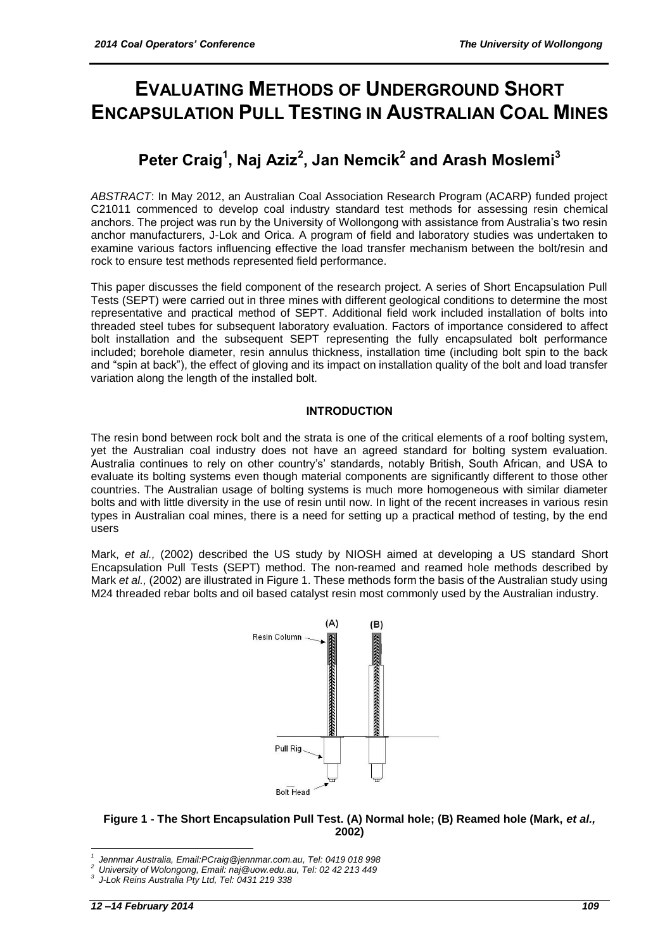# **EVALUATING METHODS OF UNDERGROUND SHORT ENCAPSULATION PULL TESTING IN AUSTRALIAN COAL MINES**

# **Peter Craig<sup>1</sup> , Naj Aziz<sup>2</sup> , Jan Nemcik<sup>2</sup> and Arash Moslemi<sup>3</sup>**

*ABSTRACT*: In May 2012, an Australian Coal Association Research Program (ACARP) funded project C21011 commenced to develop coal industry standard test methods for assessing resin chemical anchors. The project was run by the University of Wollongong with assistance from Australia's two resin anchor manufacturers, J-Lok and Orica. A program of field and laboratory studies was undertaken to examine various factors influencing effective the load transfer mechanism between the bolt/resin and rock to ensure test methods represented field performance.

This paper discusses the field component of the research project. A series of Short Encapsulation Pull Tests (SEPT) were carried out in three mines with different geological conditions to determine the most representative and practical method of SEPT. Additional field work included installation of bolts into threaded steel tubes for subsequent laboratory evaluation. Factors of importance considered to affect bolt installation and the subsequent SEPT representing the fully encapsulated bolt performance included; borehole diameter, resin annulus thickness, installation time (including bolt spin to the back and "spin at back"), the effect of gloving and its impact on installation quality of the bolt and load transfer variation along the length of the installed bolt.

# **INTRODUCTION**

The resin bond between rock bolt and the strata is one of the critical elements of a roof bolting system, yet the Australian coal industry does not have an agreed standard for bolting system evaluation. Australia continues to rely on other country's' standards, notably British, South African, and USA to evaluate its bolting systems even though material components are significantly different to those other countries. The Australian usage of bolting systems is much more homogeneous with similar diameter bolts and with little diversity in the use of resin until now. In light of the recent increases in various resin types in Australian coal mines, there is a need for setting up a practical method of testing, by the end users

Mark, *et al.,* (2002) described the US study by NIOSH aimed at developing a US standard Short Encapsulation Pull Tests (SEPT) method. The non-reamed and reamed hole methods described by Mark *et al.,* (2002) are illustrated in Figure 1. These methods form the basis of the Australian study using M24 threaded rebar bolts and oil based catalyst resin most commonly used by the Australian industry.



**Figure 1 - The Short Encapsulation Pull Test. (A) Normal hole; (B) Reamed hole (Mark,** *et al.,*  **2002)**

1

*<sup>1</sup> Jennmar Australia, Email:PCraig@jennmar.com.au, Tel: 0419 018 998*

*<sup>2</sup> University of Wolongong, Email: naj@uow.edu.au, Tel: 02 42 213 449*

*<sup>3</sup> J-Lok Reins Australia Pty Ltd, Tel: 0431 219 338*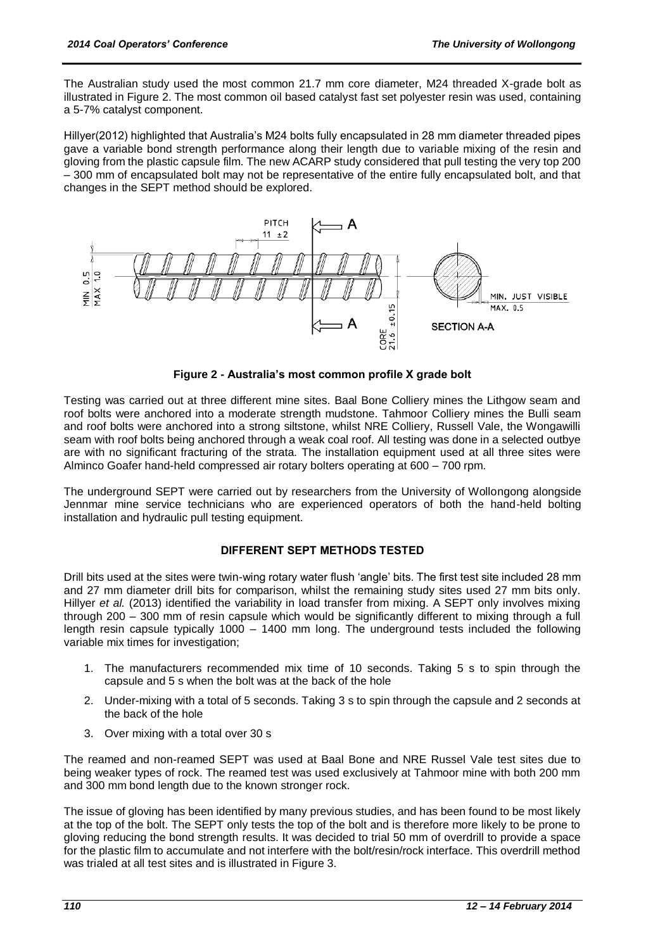The Australian study used the most common 21.7 mm core diameter, M24 threaded X-grade bolt as illustrated in Figure 2. The most common oil based catalyst fast set polyester resin was used, containing a 5-7% catalyst component.

Hillyer(2012) highlighted that Australia's M24 bolts fully encapsulated in 28 mm diameter threaded pipes gave a variable bond strength performance along their length due to variable mixing of the resin and gloving from the plastic capsule film. The new ACARP study considered that pull testing the very top 200 – 300 mm of encapsulated bolt may not be representative of the entire fully encapsulated bolt, and that changes in the SEPT method should be explored.



**Figure 2 - Australia's most common profile X grade bolt**

Testing was carried out at three different mine sites. Baal Bone Colliery mines the Lithgow seam and roof bolts were anchored into a moderate strength mudstone. Tahmoor Colliery mines the Bulli seam and roof bolts were anchored into a strong siltstone, whilst NRE Colliery, Russell Vale, the Wongawilli seam with roof bolts being anchored through a weak coal roof. All testing was done in a selected outbye are with no significant fracturing of the strata. The installation equipment used at all three sites were Alminco Goafer hand-held compressed air rotary bolters operating at 600 – 700 rpm.

The underground SEPT were carried out by researchers from the University of Wollongong alongside Jennmar mine service technicians who are experienced operators of both the hand-held bolting installation and hydraulic pull testing equipment.

# **DIFFERENT SEPT METHODS TESTED**

Drill bits used at the sites were twin-wing rotary water flush 'angle' bits. The first test site included 28 mm and 27 mm diameter drill bits for comparison, whilst the remaining study sites used 27 mm bits only. Hillyer *et al.* (2013) identified the variability in load transfer from mixing. A SEPT only involves mixing through 200 – 300 mm of resin capsule which would be significantly different to mixing through a full length resin capsule typically 1000 – 1400 mm long. The underground tests included the following variable mix times for investigation;

- 1. The manufacturers recommended mix time of 10 seconds. Taking 5 s to spin through the capsule and 5 s when the bolt was at the back of the hole
- 2. Under-mixing with a total of 5 seconds. Taking 3 s to spin through the capsule and 2 seconds at the back of the hole
- 3. Over mixing with a total over 30 s

The reamed and non-reamed SEPT was used at Baal Bone and NRE Russel Vale test sites due to being weaker types of rock. The reamed test was used exclusively at Tahmoor mine with both 200 mm and 300 mm bond length due to the known stronger rock.

The issue of gloving has been identified by many previous studies, and has been found to be most likely at the top of the bolt. The SEPT only tests the top of the bolt and is therefore more likely to be prone to gloving reducing the bond strength results. It was decided to trial 50 mm of overdrill to provide a space for the plastic film to accumulate and not interfere with the bolt/resin/rock interface. This overdrill method was trialed at all test sites and is illustrated in Figure 3.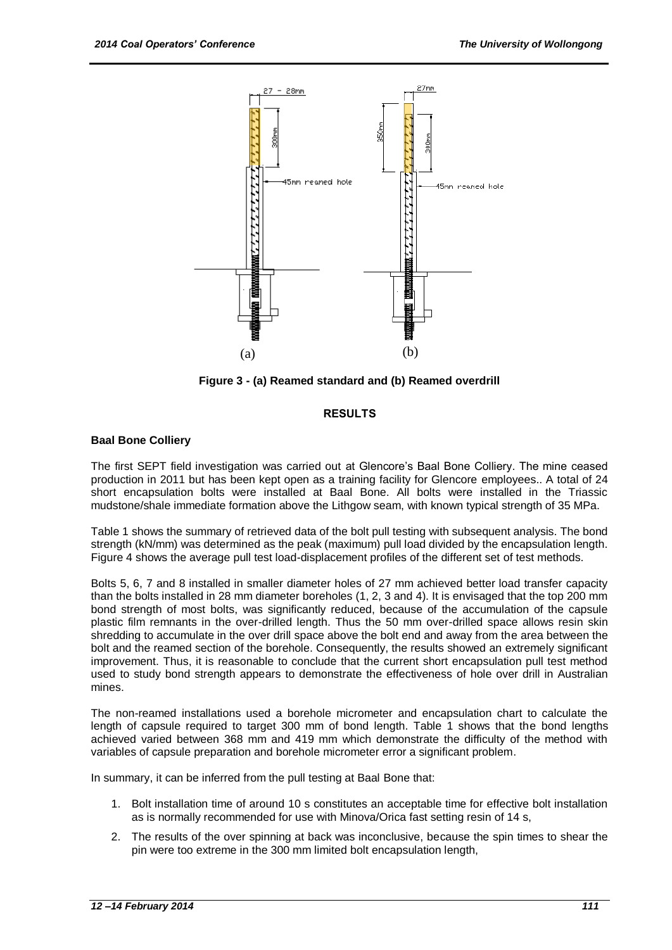

**Figure 3 - (a) Reamed standard and (b) Reamed overdrill**

#### **RESULTS**

#### **Baal Bone Colliery**

The first SEPT field investigation was carried out at Glencore's Baal Bone Colliery. The mine ceased production in 2011 but has been kept open as a training facility for Glencore employees.. A total of 24 short encapsulation bolts were installed at Baal Bone. All bolts were installed in the Triassic mudstone/shale immediate formation above the Lithgow seam, with known typical strength of 35 MPa.

Table 1 shows the summary of retrieved data of the bolt pull testing with subsequent analysis. The bond strength (kN/mm) was determined as the peak (maximum) pull load divided by the encapsulation length. Figure 4 shows the average pull test load-displacement profiles of the different set of test methods.

Bolts 5, 6, 7 and 8 installed in smaller diameter holes of 27 mm achieved better load transfer capacity than the bolts installed in 28 mm diameter boreholes (1, 2, 3 and 4). It is envisaged that the top 200 mm bond strength of most bolts, was significantly reduced, because of the accumulation of the capsule plastic film remnants in the over-drilled length. Thus the 50 mm over-drilled space allows resin skin shredding to accumulate in the over drill space above the bolt end and away from the area between the bolt and the reamed section of the borehole. Consequently, the results showed an extremely significant improvement. Thus, it is reasonable to conclude that the current short encapsulation pull test method used to study bond strength appears to demonstrate the effectiveness of hole over drill in Australian mines.

The non-reamed installations used a borehole micrometer and encapsulation chart to calculate the length of capsule required to target 300 mm of bond length. Table 1 shows that the bond lengths achieved varied between 368 mm and 419 mm which demonstrate the difficulty of the method with variables of capsule preparation and borehole micrometer error a significant problem.

In summary, it can be inferred from the pull testing at Baal Bone that:

- 1. Bolt installation time of around 10 s constitutes an acceptable time for effective bolt installation as is normally recommended for use with Minova/Orica fast setting resin of 14 s,
- 2. The results of the over spinning at back was inconclusive, because the spin times to shear the pin were too extreme in the 300 mm limited bolt encapsulation length,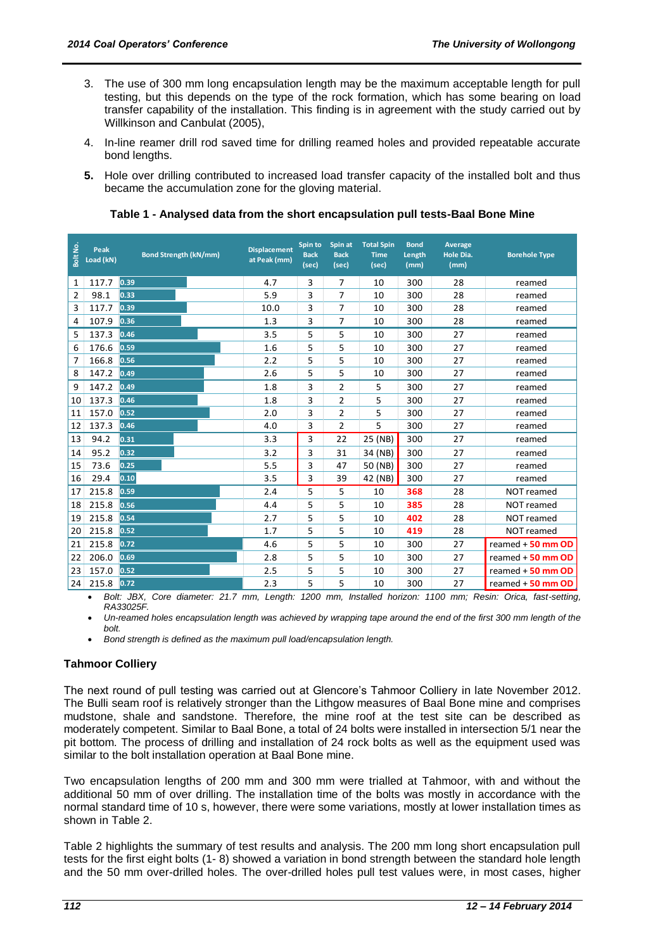- 3. The use of 300 mm long encapsulation length may be the maximum acceptable length for pull testing, but this depends on the type of the rock formation, which has some bearing on load transfer capability of the installation. This finding is in agreement with the study carried out by Willkinson and Canbulat (2005),
- 4. In-line reamer drill rod saved time for drilling reamed holes and provided repeatable accurate bond lengths.
- **5.** Hole over drilling contributed to increased load transfer capacity of the installed bolt and thus became the accumulation zone for the gloving material.

| Bolt No<br>Peak<br>Load (kN)                  | <b>Bond Strength (kN/mm)</b>                                                                                                                                                                                                                                                                                                                                                                                                                                                                                                                                                                            | <b>Displacement</b><br>at Peak (mm) | Spin to<br><b>Back</b><br>(sec) | Spin at<br><b>Back</b><br>(sec) | <b>Total Spin</b><br><b>Time</b><br>(sec) | <b>Bond</b><br>Length<br>(mm) | Average<br>Hole Dia.<br>(mm) | <b>Borehole Type</b> |
|-----------------------------------------------|---------------------------------------------------------------------------------------------------------------------------------------------------------------------------------------------------------------------------------------------------------------------------------------------------------------------------------------------------------------------------------------------------------------------------------------------------------------------------------------------------------------------------------------------------------------------------------------------------------|-------------------------------------|---------------------------------|---------------------------------|-------------------------------------------|-------------------------------|------------------------------|----------------------|
| 117.7<br>1                                    | 0.39                                                                                                                                                                                                                                                                                                                                                                                                                                                                                                                                                                                                    | 4.7                                 | 3                               | 7                               | 10                                        | 300                           | 28                           | reamed               |
| 98.1<br>2                                     | 0.33                                                                                                                                                                                                                                                                                                                                                                                                                                                                                                                                                                                                    | 5.9                                 | 3                               | 7                               | 10                                        | 300                           | 28                           | reamed               |
| 117.7<br>3                                    | 0.39                                                                                                                                                                                                                                                                                                                                                                                                                                                                                                                                                                                                    | 10.0                                | 3                               | 7                               | 10                                        | 300                           | 28                           | reamed               |
| 107.9                                         | 0.36                                                                                                                                                                                                                                                                                                                                                                                                                                                                                                                                                                                                    | 1.3                                 | 3                               | 7                               | 10                                        | 300                           | 28                           | reamed               |
| 137.3                                         | 0.46                                                                                                                                                                                                                                                                                                                                                                                                                                                                                                                                                                                                    | 3.5                                 | 5                               | 5                               | 10                                        | 300                           | 27                           | reamed               |
| 176.6                                         | 0.59                                                                                                                                                                                                                                                                                                                                                                                                                                                                                                                                                                                                    | 1.6                                 | 5                               | 5                               | 10                                        | 300                           | 27                           | reamed               |
| 166.8                                         | 0.56                                                                                                                                                                                                                                                                                                                                                                                                                                                                                                                                                                                                    | 2.2                                 | 5                               | 5                               | 10                                        | 300                           | 27                           | reamed               |
| 147.2                                         | 0.49                                                                                                                                                                                                                                                                                                                                                                                                                                                                                                                                                                                                    | 2.6                                 | 5                               | 5                               | 10                                        | 300                           | 27                           | reamed               |
| 147.2                                         | 0.49                                                                                                                                                                                                                                                                                                                                                                                                                                                                                                                                                                                                    | 1.8                                 | 3                               | 2                               | 5                                         | 300                           | 27                           | reamed               |
| 137.3<br>10                                   | 0.46                                                                                                                                                                                                                                                                                                                                                                                                                                                                                                                                                                                                    | 1.8                                 | 3                               | 2                               | 5                                         | 300                           | 27                           | reamed               |
| 157.0<br>11                                   | 0.52                                                                                                                                                                                                                                                                                                                                                                                                                                                                                                                                                                                                    | 2.0                                 | 3                               | 2                               | 5                                         | 300                           | 27                           | reamed               |
| 137.3                                         | 0.46                                                                                                                                                                                                                                                                                                                                                                                                                                                                                                                                                                                                    | 4.0                                 | 3                               | 2                               | 5                                         | 300                           | 27                           | reamed               |
| 94.2                                          | 0.31                                                                                                                                                                                                                                                                                                                                                                                                                                                                                                                                                                                                    | 3.3                                 | 3                               | 22                              | 25 (NB)                                   | 300                           | 27                           | reamed               |
| 95.2                                          | 0.32                                                                                                                                                                                                                                                                                                                                                                                                                                                                                                                                                                                                    | 3.2                                 | 3                               | 31                              | 34 (NB)                                   | 300                           | 27                           | reamed               |
| 15<br>73.6                                    | 0.25                                                                                                                                                                                                                                                                                                                                                                                                                                                                                                                                                                                                    | 5.5                                 | 3                               | 47                              | 50 (NB)                                   | 300                           | 27                           | reamed               |
| 29.4<br>16                                    | 0.10                                                                                                                                                                                                                                                                                                                                                                                                                                                                                                                                                                                                    | 3.5                                 | 3                               | 39                              | 42 (NB)                                   | 300                           | 27                           | reamed               |
| 215.8                                         | 0.59                                                                                                                                                                                                                                                                                                                                                                                                                                                                                                                                                                                                    | 2.4                                 | 5                               | 5                               | 10                                        | 368                           | 28                           | NOT reamed           |
| 18 215.8                                      | 0.56                                                                                                                                                                                                                                                                                                                                                                                                                                                                                                                                                                                                    | 4.4                                 | 5                               | 5                               | 10                                        | 385                           | 28                           | NOT reamed           |
| 19 215.8                                      | 0.54                                                                                                                                                                                                                                                                                                                                                                                                                                                                                                                                                                                                    | 2.7                                 | 5                               | 5                               | 10                                        | 402                           | 28                           | <b>NOT reamed</b>    |
| 20 215.8                                      | 0.52                                                                                                                                                                                                                                                                                                                                                                                                                                                                                                                                                                                                    | 1.7                                 | 5                               | 5                               | 10                                        | 419                           | 28                           | NOT reamed           |
| 215.8                                         | 0.72                                                                                                                                                                                                                                                                                                                                                                                                                                                                                                                                                                                                    | 4.6                                 | 5                               | 5                               | 10                                        | 300                           | 27                           | reamed $+50$ mm OD   |
| 206.0                                         | 0.69                                                                                                                                                                                                                                                                                                                                                                                                                                                                                                                                                                                                    | 2.8                                 | 5                               | 5                               | 10                                        | 300                           | 27                           | reamed + 50 mm OD    |
| 23   157.0                                    | 0.52                                                                                                                                                                                                                                                                                                                                                                                                                                                                                                                                                                                                    | 2.5                                 | 5                               | 5                               | 10                                        | 300                           | 27                           | reamed $+50$ mm OD   |
| 215.8<br>24                                   | 0.72                                                                                                                                                                                                                                                                                                                                                                                                                                                                                                                                                                                                    | 2.3                                 | 5                               | 5                               | 10                                        | 300                           | 27                           | reamed $+50$ mm OD   |
| bolt.<br>$\bullet$<br><b>Tahmoor Colliery</b> | RA33025F.<br>Un-reamed holes encapsulation length was achieved by wrapping tape around the end of the first 300 mm length of the<br>Bond strength is defined as the maximum pull load/encapsulation length.                                                                                                                                                                                                                                                                                                                                                                                             |                                     |                                 |                                 |                                           |                               |                              |                      |
|                                               | The next round of pull testing was carried out at Glencore's Tahmoor Colliery in late November 2012.<br>The Bulli seam roof is relatively stronger than the Lithgow measures of Baal Bone mine and comprises<br>mudstone, shale and sandstone. Therefore, the mine roof at the test site can be described as<br>moderately competent. Similar to Baal Bone, a total of 24 bolts were installed in intersection 5/1 near the<br>pit bottom. The process of drilling and installation of 24 rock bolts as well as the equipment used was<br>similar to the bolt installation operation at Baal Bone mine. |                                     |                                 |                                 |                                           |                               |                              |                      |
| shown in Table 2.                             | Two encapsulation lengths of 200 mm and 300 mm were trialled at Tahmoor, with and without the<br>additional 50 mm of over drilling. The installation time of the bolts was mostly in accordance with the<br>normal standard time of 10 s, however, there were some variations, mostly at lower installation times as                                                                                                                                                                                                                                                                                    |                                     |                                 |                                 |                                           |                               |                              |                      |
|                                               | Table 2 highlights the summary of test results and analysis. The 200 mm long short encapsulation pull<br>tests for the first eight bolts (1-8) showed a variation in bond strength between the standard hole length<br>and the 50 mm over-drilled holes. The over-drilled holes pull test values were, in most cases, higher                                                                                                                                                                                                                                                                            |                                     |                                 |                                 |                                           |                               |                              |                      |

# **Table 1 - Analysed data from the short encapsulation pull tests-Baal Bone Mine**

# **Tahmoor Colliery**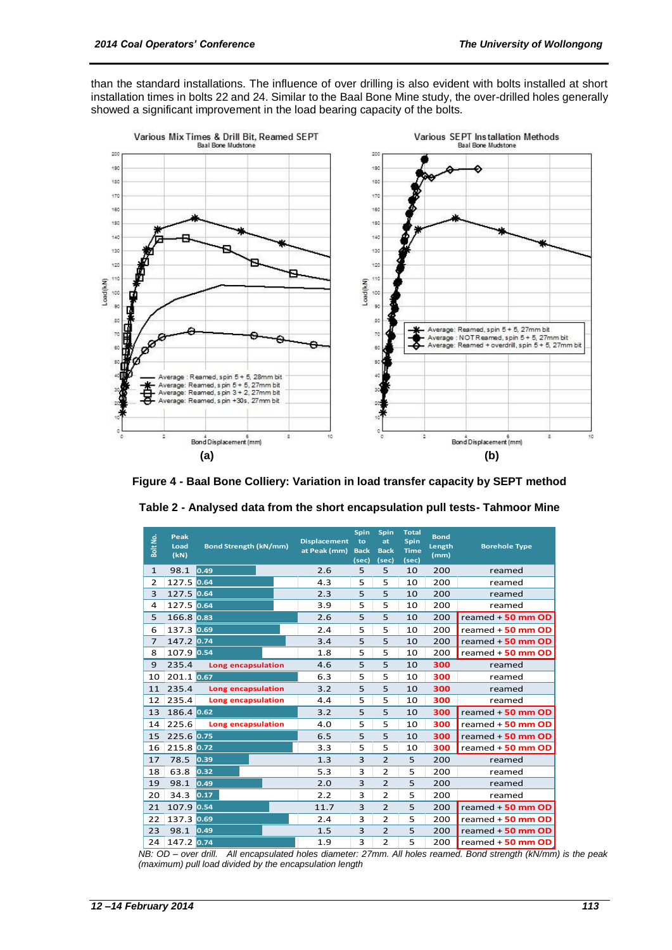than the standard installations. The influence of over drilling is also evident with bolts installed at short installation times in bolts 22 and 24. Similar to the Baal Bone Mine study, the over-drilled holes generally showed a significant improvement in the load bearing capacity of the bolts.





| Bolt No.                                                                                              | Peak<br>Load<br>(kN) | <b>Bond Strength (kN/mm)</b> | <b>Displacement</b><br>at Peak (mm) | Spin<br>to<br><b>Back</b><br>(sec) | Spin<br>at<br><b>Back</b><br>(sec) | <b>Total</b><br><b>Spin</b><br><b>Time</b><br>(sec) | <b>Bond</b><br>Length<br>(mm) | <b>Borehole Type</b> |
|-------------------------------------------------------------------------------------------------------|----------------------|------------------------------|-------------------------------------|------------------------------------|------------------------------------|-----------------------------------------------------|-------------------------------|----------------------|
| $\mathbf{1}$                                                                                          | 98.1                 | 0.49                         | 2.6                                 | 5                                  | 5                                  | 10                                                  | 200                           | reamed               |
| $\overline{2}$                                                                                        | 127.5 0.64           |                              | 4.3                                 | 5                                  | 5                                  | 10                                                  | 200                           | reamed               |
| 3                                                                                                     | 127.5 0.64           |                              | 2.3                                 | 5                                  | 5                                  | 10                                                  | 200                           | reamed               |
| 4                                                                                                     | 127.5 0.64           |                              | 3.9                                 | 5                                  | 5                                  | 10                                                  | 200                           | reamed               |
| 5                                                                                                     | 166.8 0.83           |                              | 2.6                                 | 5                                  | 5                                  | 10                                                  | 200                           | reamed $+50$ mm OD   |
| 6                                                                                                     | 137.3 0.69           |                              | 2.4                                 | 5                                  | 5                                  | 10                                                  | 200                           | reamed $+50$ mm OD   |
| $\overline{7}$                                                                                        | 147.2 0.74           |                              | 3.4                                 | 5                                  | 5                                  | 10                                                  | 200                           | reamed $+50$ mm OD   |
| 8                                                                                                     | 107.9 0.54           |                              | 1.8                                 | 5                                  | 5                                  | 10                                                  | 200                           | reamed $+50$ mm OD   |
| 9                                                                                                     | 235.4                | Long encapsulation           | 4.6                                 | 5                                  | 5                                  | 10                                                  | 300                           | reamed               |
| 10                                                                                                    | 201.1 0.67           |                              | 6.3                                 | 5                                  | 5                                  | 10                                                  | 300                           | reamed               |
| 11                                                                                                    | 235.4                | Long encapsulation           | 3.2                                 | 5                                  | 5                                  | 10                                                  | 300                           | reamed               |
| 12                                                                                                    | 235.4                | Long encapsulation           | 4.4                                 | 5                                  | 5                                  | 10                                                  | 300                           | reamed               |
| 13                                                                                                    | 186.4 0.62           |                              | 3.2                                 | 5                                  | 5                                  | 10                                                  | 300                           | reamed $+50$ mm OD   |
| 14                                                                                                    | 225.6                | Long encapsulation           | 4.0                                 | 5                                  | 5                                  | 10                                                  | 300                           | reamed $+50$ mm OD   |
| 15                                                                                                    | 225.6 0.75           |                              | 6.5                                 | 5                                  | 5                                  | 10                                                  | 300                           | reamed $+50$ mm OD   |
| 16                                                                                                    | 215.8 0.72           |                              | 3.3                                 | 5                                  | 5                                  | 10                                                  | 300                           | reamed $+50$ mm OD   |
| 17                                                                                                    | 78.5                 | 0.39                         | 1.3                                 | 3                                  | $\overline{2}$                     | 5                                                   | 200                           | reamed               |
| 18                                                                                                    | 63.8                 | 0.32                         | 5.3                                 | 3                                  | $\overline{2}$                     | 5                                                   | 200                           | reamed               |
| 19                                                                                                    | 98.1                 | 0.49                         | 2.0                                 | 3                                  | $\overline{2}$                     | 5                                                   | 200                           | reamed               |
| 20                                                                                                    | 34.3                 | 0.17                         | 2.2                                 | 3                                  | $\overline{2}$                     | 5                                                   | 200                           | reamed               |
| 21                                                                                                    | 107.9 0.54           |                              | 11.7                                | 3                                  | $\overline{2}$                     | 5                                                   | 200                           | reamed $+50$ mm OD   |
| 22                                                                                                    | 137.3 0.69           |                              | 2.4                                 | 3                                  | $\overline{2}$                     | 5                                                   | 200                           | reamed $+50$ mm OD   |
| 23                                                                                                    | 98.1                 | 0.49                         | 1.5                                 | 3                                  | $\overline{2}$                     | 5                                                   | 200                           | reamed $+50$ mm OD   |
| 24                                                                                                    | 147.2 0.74           |                              | 1.9                                 | 3                                  | $\overline{2}$                     | 5                                                   | 200                           | reamed $+50$ mm OD   |
| All encapsulated holes diameter: 27mm. All holes reamed. Bond strength (kN/mm<br>NB: OD – over drill. |                      |                              |                                     |                                    |                                    |                                                     |                               |                      |
| (maximum) pull load divided by the encapsulation length                                               |                      |                              |                                     |                                    |                                    |                                                     |                               |                      |

| Table 2 - Analysed data from the short encapsulation pull tests- Tahmoor Mine |  |
|-------------------------------------------------------------------------------|--|
|-------------------------------------------------------------------------------|--|

*NB: OD – over drill. All encapsulated holes diameter: 27mm. All holes reamed. Bond strength (kN/mm) is the peak*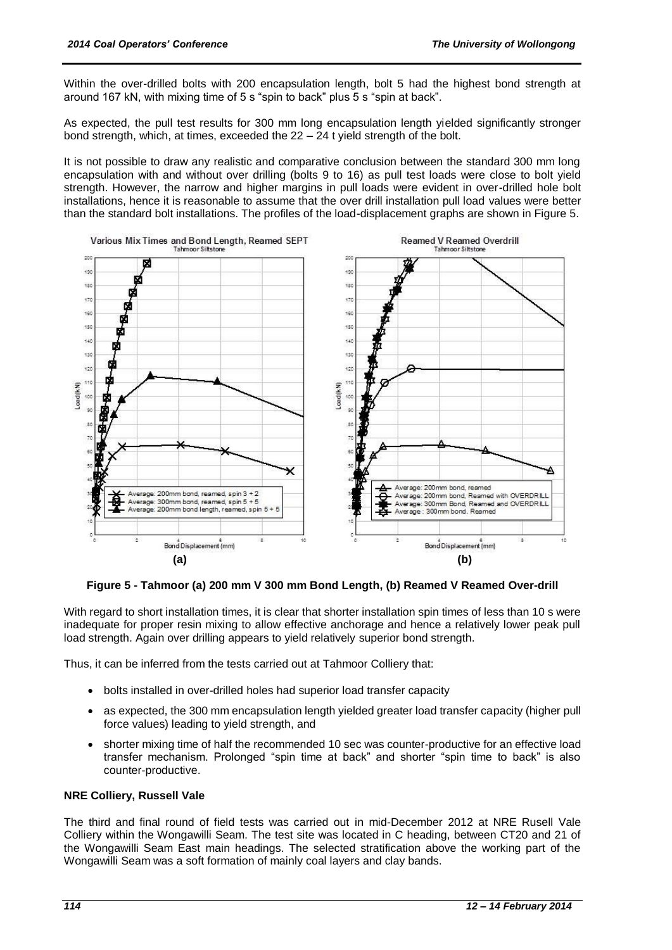Within the over-drilled bolts with 200 encapsulation length, bolt 5 had the highest bond strength at around 167 kN, with mixing time of 5 s "spin to back" plus 5 s "spin at back".

As expected, the pull test results for 300 mm long encapsulation length yielded significantly stronger bond strength, which, at times, exceeded the  $22 - 24$  t yield strength of the bolt.

It is not possible to draw any realistic and comparative conclusion between the standard 300 mm long encapsulation with and without over drilling (bolts 9 to 16) as pull test loads were close to bolt yield strength. However, the narrow and higher margins in pull loads were evident in over-drilled hole bolt installations, hence it is reasonable to assume that the over drill installation pull load values were better than the standard bolt installations. The profiles of the load-displacement graphs are shown in Figure 5.



**Figure 5 - Tahmoor (a) 200 mm V 300 mm Bond Length, (b) Reamed V Reamed Over-drill**

With regard to short installation times, it is clear that shorter installation spin times of less than 10 s were inadequate for proper resin mixing to allow effective anchorage and hence a relatively lower peak pull load strength. Again over drilling appears to yield relatively superior bond strength.

Thus, it can be inferred from the tests carried out at Tahmoor Colliery that:

- bolts installed in over-drilled holes had superior load transfer capacity
- as expected, the 300 mm encapsulation length yielded greater load transfer capacity (higher pull force values) leading to yield strength, and
- shorter mixing time of half the recommended 10 sec was counter-productive for an effective load transfer mechanism. Prolonged "spin time at back" and shorter "spin time to back" is also counter-productive.

# **NRE Colliery, Russell Vale**

The third and final round of field tests was carried out in mid-December 2012 at NRE Rusell Vale Colliery within the Wongawilli Seam. The test site was located in C heading, between CT20 and 21 of the Wongawilli Seam East main headings. The selected stratification above the working part of the Wongawilli Seam was a soft formation of mainly coal layers and clay bands.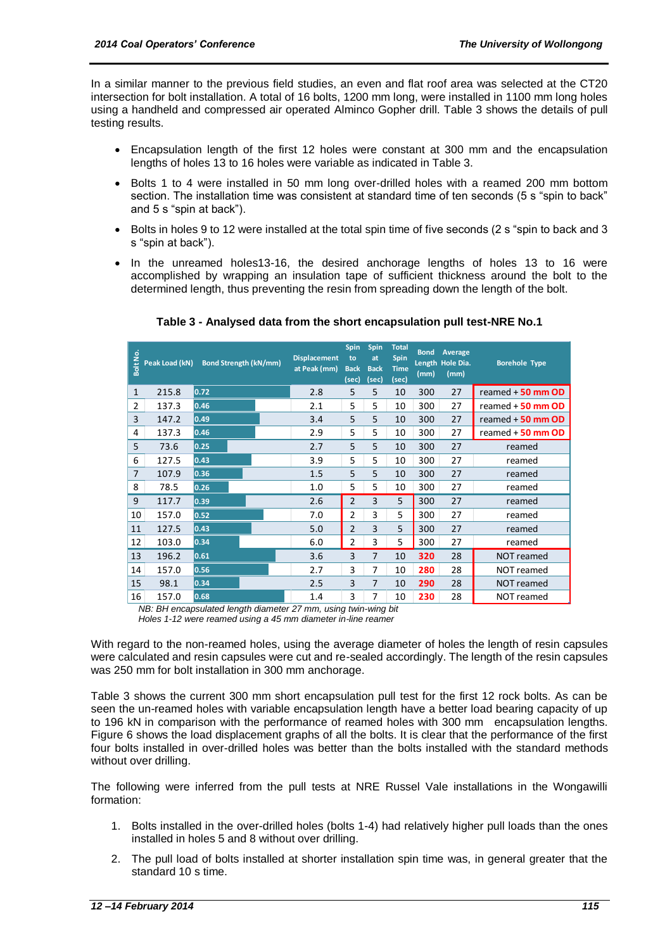In a similar manner to the previous field studies, an even and flat roof area was selected at the CT20 intersection for bolt installation. A total of 16 bolts, 1200 mm long, were installed in 1100 mm long holes using a handheld and compressed air operated Alminco Gopher drill. Table 3 shows the details of pull testing results.

- Encapsulation length of the first 12 holes were constant at 300 mm and the encapsulation lengths of holes 13 to 16 holes were variable as indicated in Table 3.
- Bolts 1 to 4 were installed in 50 mm long over-drilled holes with a reamed 200 mm bottom section. The installation time was consistent at standard time of ten seconds (5 s "spin to back" and 5 s "spin at back").
- Bolts in holes 9 to 12 were installed at the total spin time of five seconds (2 s "spin to back and 3 s "spin at back").
- In the unreamed holes13-16, the desired anchorage lengths of holes 13 to 16 were accomplished by wrapping an insulation tape of sufficient thickness around the bolt to the determined length, thus preventing the resin from spreading down the length of the bolt.

|                                                                                                                                                                                                                                                                                                                                                                                                                                                                                                                                                                                                                                                                                                                                                                                                                                                                                                     | 으<br>풍 Peak Load (kN)<br>음 | <b>Bond Strength (kN/mm)</b> |  | <b>Displacement</b><br>at Peak (mm) | Spin<br>to<br><b>Back</b><br>(sec) | Spin<br>at<br><b>Back</b><br>(sec) | <b>Total</b><br><b>Spin</b><br><b>Time</b><br>(sec) | <b>Bond</b><br>(mm) | Average<br>Length Hole Dia.<br>(mm) | <b>Borehole Type</b> |
|-----------------------------------------------------------------------------------------------------------------------------------------------------------------------------------------------------------------------------------------------------------------------------------------------------------------------------------------------------------------------------------------------------------------------------------------------------------------------------------------------------------------------------------------------------------------------------------------------------------------------------------------------------------------------------------------------------------------------------------------------------------------------------------------------------------------------------------------------------------------------------------------------------|----------------------------|------------------------------|--|-------------------------------------|------------------------------------|------------------------------------|-----------------------------------------------------|---------------------|-------------------------------------|----------------------|
| 1                                                                                                                                                                                                                                                                                                                                                                                                                                                                                                                                                                                                                                                                                                                                                                                                                                                                                                   | 215.8                      | 0.72                         |  | 2.8                                 | 5                                  | 5                                  | 10                                                  | 300                 | 27                                  | reamed + 50 mm OD    |
| 2                                                                                                                                                                                                                                                                                                                                                                                                                                                                                                                                                                                                                                                                                                                                                                                                                                                                                                   | 137.3                      | 0.46                         |  | 2.1                                 | 5                                  | 5                                  | 10                                                  | 300                 | 27                                  | reamed $+50$ mm OD   |
| 3                                                                                                                                                                                                                                                                                                                                                                                                                                                                                                                                                                                                                                                                                                                                                                                                                                                                                                   | 147.2                      | 0.49                         |  | 3.4                                 | 5                                  | 5                                  | 10                                                  | 300                 | 27                                  | reamed $+50$ mm $OD$ |
| 4                                                                                                                                                                                                                                                                                                                                                                                                                                                                                                                                                                                                                                                                                                                                                                                                                                                                                                   | 137.3                      | 0.46                         |  | 2.9                                 | 5                                  | 5                                  | 10                                                  | 300                 | 27                                  | reamed + 50 mm OD    |
| 5                                                                                                                                                                                                                                                                                                                                                                                                                                                                                                                                                                                                                                                                                                                                                                                                                                                                                                   | 73.6                       | 0.25                         |  | 2.7                                 | 5                                  | 5                                  | 10                                                  | 300                 | 27                                  | reamed               |
| 6                                                                                                                                                                                                                                                                                                                                                                                                                                                                                                                                                                                                                                                                                                                                                                                                                                                                                                   | 127.5                      | 0.43                         |  | 3.9                                 | 5                                  | 5                                  | 10                                                  | 300                 | 27                                  | reamed               |
| 7                                                                                                                                                                                                                                                                                                                                                                                                                                                                                                                                                                                                                                                                                                                                                                                                                                                                                                   | 107.9                      | 0.36                         |  | 1.5                                 | 5                                  | 5                                  | 10                                                  | 300                 | 27                                  | reamed               |
| 8                                                                                                                                                                                                                                                                                                                                                                                                                                                                                                                                                                                                                                                                                                                                                                                                                                                                                                   | 78.5                       | 0.26                         |  | 1.0                                 | 5                                  | 5                                  | 10                                                  | 300                 | 27                                  | reamed               |
| 9                                                                                                                                                                                                                                                                                                                                                                                                                                                                                                                                                                                                                                                                                                                                                                                                                                                                                                   | 117.7                      | 0.39                         |  | 2.6                                 | $\overline{2}$                     | 3                                  | 5                                                   | 300                 | 27                                  | reamed               |
| 10                                                                                                                                                                                                                                                                                                                                                                                                                                                                                                                                                                                                                                                                                                                                                                                                                                                                                                  | 157.0                      | 0.52                         |  | 7.0                                 | 2                                  | 3                                  | 5                                                   | 300                 | 27                                  | reamed               |
| 11                                                                                                                                                                                                                                                                                                                                                                                                                                                                                                                                                                                                                                                                                                                                                                                                                                                                                                  | 127.5                      | 0.43                         |  | 5.0                                 | 2                                  | 3                                  | 5                                                   | 300                 | 27                                  | reamed               |
| 12                                                                                                                                                                                                                                                                                                                                                                                                                                                                                                                                                                                                                                                                                                                                                                                                                                                                                                  | 103.0                      | 0.34                         |  | 6.0                                 | 2                                  | 3                                  | 5                                                   | 300                 | 27                                  | reamed               |
| 13                                                                                                                                                                                                                                                                                                                                                                                                                                                                                                                                                                                                                                                                                                                                                                                                                                                                                                  | 196.2                      | 0.61                         |  | 3.6                                 | 3                                  | 7                                  | 10                                                  | 320                 | 28                                  | NOT reamed           |
| 14                                                                                                                                                                                                                                                                                                                                                                                                                                                                                                                                                                                                                                                                                                                                                                                                                                                                                                  | 157.0                      | 0.56                         |  | 2.7                                 | 3                                  | 7                                  | 10                                                  | 280                 | 28                                  | NOT reamed           |
| 15                                                                                                                                                                                                                                                                                                                                                                                                                                                                                                                                                                                                                                                                                                                                                                                                                                                                                                  | 98.1                       | 0.34                         |  | 2.5                                 | 3                                  | 7                                  | 10                                                  | 290                 | 28                                  | NOT reamed           |
| 16                                                                                                                                                                                                                                                                                                                                                                                                                                                                                                                                                                                                                                                                                                                                                                                                                                                                                                  | 157.0                      | 0.68                         |  | 1.4                                 | 3                                  | 7                                  | 10                                                  | 230                 | 28                                  | NOT reamed           |
| Holes 1-12 were reamed using a 45 mm diameter in-line reamer<br>gard to the non-reamed holes, using the average diameter of holes the length of resin ca<br>alculated and resin capsules were cut and re-sealed accordingly. The length of the resin ca<br>0 mm for bolt installation in 300 mm anchorage.<br>3 shows the current 300 mm short encapsulation pull test for the first 12 rock bolts. As<br>ne un-reamed holes with variable encapsulation length have a better load bearing capaci<br>kN in comparison with the performance of reamed holes with 300 mm<br>encapsulation I<br>6 shows the load displacement graphs of all the bolts. It is clear that the performance of<br>llts installed in over-drilled holes was better than the bolts installed with the standard n<br>t over drilling.<br>llowing were inferred from the pull tests at NRE Russel Vale installations in the Wo |                            |                              |  |                                     |                                    |                                    |                                                     |                     |                                     |                      |
| on:<br>Bolts installed in the over-drilled holes (bolts 1-4) had relatively higher pull loads than th<br>installed in holes 5 and 8 without over drilling.                                                                                                                                                                                                                                                                                                                                                                                                                                                                                                                                                                                                                                                                                                                                          |                            |                              |  |                                     |                                    |                                    |                                                     |                     |                                     |                      |
| The pull load of bolts installed at shorter installation spin time was, in general greater t<br>standard 10 s time.                                                                                                                                                                                                                                                                                                                                                                                                                                                                                                                                                                                                                                                                                                                                                                                 |                            |                              |  |                                     |                                    |                                    |                                                     |                     |                                     |                      |

**Table 3 - Analysed data from the short encapsulation pull test-NRE No.1** 

With regard to the non-reamed holes, using the average diameter of holes the length of resin capsules were calculated and resin capsules were cut and re-sealed accordingly. The length of the resin capsules was 250 mm for bolt installation in 300 mm anchorage.

Table 3 shows the current 300 mm short encapsulation pull test for the first 12 rock bolts. As can be seen the un-reamed holes with variable encapsulation length have a better load bearing capacity of up to 196 kN in comparison with the performance of reamed holes with 300 mm encapsulation lengths. Figure 6 shows the load displacement graphs of all the bolts. It is clear that the performance of the first four bolts installed in over-drilled holes was better than the bolts installed with the standard methods without over drilling.

The following were inferred from the pull tests at NRE Russel Vale installations in the Wongawilli formation:

- 1. Bolts installed in the over-drilled holes (bolts 1-4) had relatively higher pull loads than the ones installed in holes 5 and 8 without over drilling.
- 2. The pull load of bolts installed at shorter installation spin time was, in general greater that the standard 10 s time.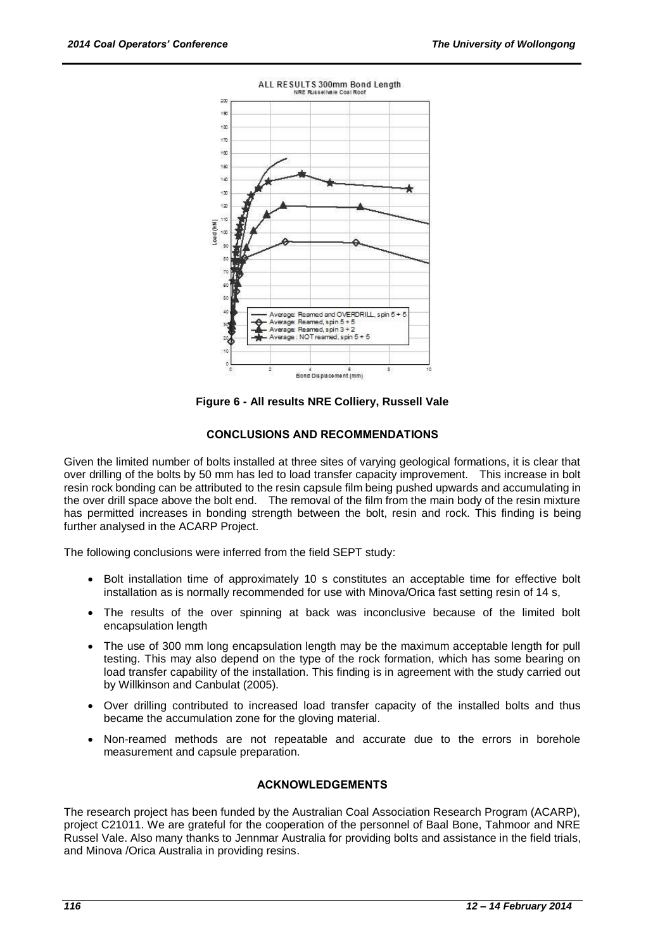

**Figure 6 - All results NRE Colliery, Russell Vale**

# **CONCLUSIONS AND RECOMMENDATIONS**

Given the limited number of bolts installed at three sites of varying geological formations, it is clear that over drilling of the bolts by 50 mm has led to load transfer capacity improvement. This increase in bolt resin rock bonding can be attributed to the resin capsule film being pushed upwards and accumulating in the over drill space above the bolt end. The removal of the film from the main body of the resin mixture has permitted increases in bonding strength between the bolt, resin and rock. This finding is being further analysed in the ACARP Project.

The following conclusions were inferred from the field SEPT study:

- Bolt installation time of approximately 10 s constitutes an acceptable time for effective bolt installation as is normally recommended for use with Minova/Orica fast setting resin of 14 s,
- The results of the over spinning at back was inconclusive because of the limited bolt encapsulation length
- The use of 300 mm long encapsulation length may be the maximum acceptable length for pull testing. This may also depend on the type of the rock formation, which has some bearing on load transfer capability of the installation. This finding is in agreement with the study carried out by Willkinson and Canbulat (2005).
- Over drilling contributed to increased load transfer capacity of the installed bolts and thus became the accumulation zone for the gloving material.
- Non-reamed methods are not repeatable and accurate due to the errors in borehole measurement and capsule preparation.

# **ACKNOWLEDGEMENTS**

The research project has been funded by the Australian Coal Association Research Program (ACARP), project C21011. We are grateful for the cooperation of the personnel of Baal Bone, Tahmoor and NRE Russel Vale. Also many thanks to Jennmar Australia for providing bolts and assistance in the field trials, and Minova /Orica Australia in providing resins.